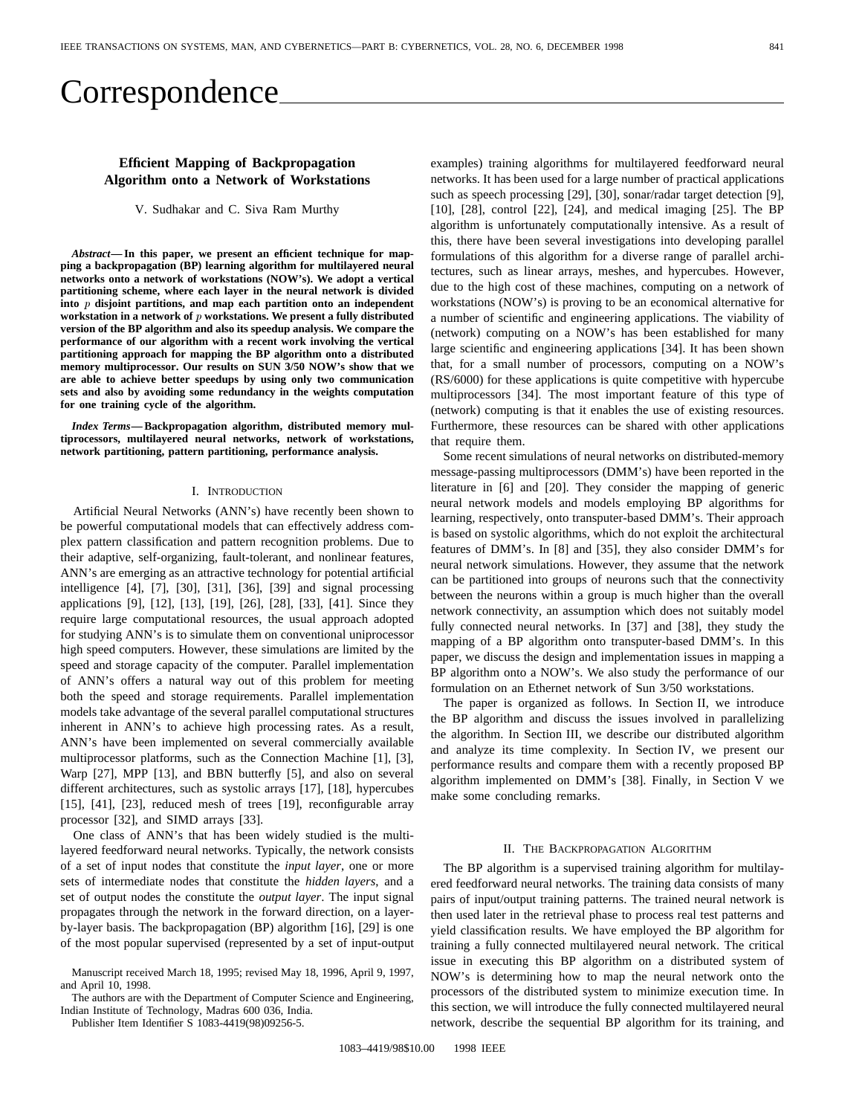# Correspondence

# **Efficient Mapping of Backpropagation Algorithm onto a Network of Workstations**

V. Sudhakar and C. Siva Ram Murthy

*Abstract—***In this paper, we present an efficient technique for mapping a backpropagation (BP) learning algorithm for multilayered neural networks onto a network of workstations (NOW's). We adopt a vertical partitioning scheme, where each layer in the neural network is divided into** p **disjoint partitions, and map each partition onto an independent workstation in a network of** p **workstations. We present a fully distributed version of the BP algorithm and also its speedup analysis. We compare the performance of our algorithm with a recent work involving the vertical partitioning approach for mapping the BP algorithm onto a distributed memory multiprocessor. Our results on SUN 3/50 NOW's show that we are able to achieve better speedups by using only two communication sets and also by avoiding some redundancy in the weights computation for one training cycle of the algorithm.**

*Index Terms—***Backpropagation algorithm, distributed memory multiprocessors, multilayered neural networks, network of workstations, network partitioning, pattern partitioning, performance analysis.**

## I. INTRODUCTION

Artificial Neural Networks (ANN's) have recently been shown to be powerful computational models that can effectively address complex pattern classification and pattern recognition problems. Due to their adaptive, self-organizing, fault-tolerant, and nonlinear features, ANN's are emerging as an attractive technology for potential artificial intelligence [4], [7], [30], [31], [36], [39] and signal processing applications [9], [12], [13], [19], [26], [28], [33], [41]. Since they require large computational resources, the usual approach adopted for studying ANN's is to simulate them on conventional uniprocessor high speed computers. However, these simulations are limited by the speed and storage capacity of the computer. Parallel implementation of ANN's offers a natural way out of this problem for meeting both the speed and storage requirements. Parallel implementation models take advantage of the several parallel computational structures inherent in ANN's to achieve high processing rates. As a result, ANN's have been implemented on several commercially available multiprocessor platforms, such as the Connection Machine [1], [3], Warp [27], MPP [13], and BBN butterfly [5], and also on several different architectures, such as systolic arrays [17], [18], hypercubes [15], [41], [23], reduced mesh of trees [19], reconfigurable array processor [32], and SIMD arrays [33].

One class of ANN's that has been widely studied is the multilayered feedforward neural networks. Typically, the network consists of a set of input nodes that constitute the *input layer*, one or more sets of intermediate nodes that constitute the *hidden layers*, and a set of output nodes the constitute the *output layer*. The input signal propagates through the network in the forward direction, on a layerby-layer basis. The backpropagation (BP) algorithm [16], [29] is one of the most popular supervised (represented by a set of input-output

The authors are with the Department of Computer Science and Engineering, Indian Institute of Technology, Madras 600 036, India.

Publisher Item Identifier S 1083-4419(98)09256-5.

examples) training algorithms for multilayered feedforward neural networks. It has been used for a large number of practical applications such as speech processing [29], [30], sonar/radar target detection [9], [10], [28], control [22], [24], and medical imaging [25]. The BP algorithm is unfortunately computationally intensive. As a result of this, there have been several investigations into developing parallel formulations of this algorithm for a diverse range of parallel architectures, such as linear arrays, meshes, and hypercubes. However, due to the high cost of these machines, computing on a network of workstations (NOW's) is proving to be an economical alternative for a number of scientific and engineering applications. The viability of (network) computing on a NOW's has been established for many large scientific and engineering applications [34]. It has been shown that, for a small number of processors, computing on a NOW's (RS/6000) for these applications is quite competitive with hypercube multiprocessors [34]. The most important feature of this type of (network) computing is that it enables the use of existing resources. Furthermore, these resources can be shared with other applications that require them.

Some recent simulations of neural networks on distributed-memory message-passing multiprocessors (DMM's) have been reported in the literature in [6] and [20]. They consider the mapping of generic neural network models and models employing BP algorithms for learning, respectively, onto transputer-based DMM's. Their approach is based on systolic algorithms, which do not exploit the architectural features of DMM's. In [8] and [35], they also consider DMM's for neural network simulations. However, they assume that the network can be partitioned into groups of neurons such that the connectivity between the neurons within a group is much higher than the overall network connectivity, an assumption which does not suitably model fully connected neural networks. In [37] and [38], they study the mapping of a BP algorithm onto transputer-based DMM's. In this paper, we discuss the design and implementation issues in mapping a BP algorithm onto a NOW's. We also study the performance of our formulation on an Ethernet network of Sun 3/50 workstations.

The paper is organized as follows. In Section II, we introduce the BP algorithm and discuss the issues involved in parallelizing the algorithm. In Section III, we describe our distributed algorithm and analyze its time complexity. In Section IV, we present our performance results and compare them with a recently proposed BP algorithm implemented on DMM's [38]. Finally, in Section V we make some concluding remarks.

## II. THE BACKPROPAGATION ALGORITHM

The BP algorithm is a supervised training algorithm for multilayered feedforward neural networks. The training data consists of many pairs of input/output training patterns. The trained neural network is then used later in the retrieval phase to process real test patterns and yield classification results. We have employed the BP algorithm for training a fully connected multilayered neural network. The critical issue in executing this BP algorithm on a distributed system of NOW's is determining how to map the neural network onto the processors of the distributed system to minimize execution time. In this section, we will introduce the fully connected multilayered neural network, describe the sequential BP algorithm for its training, and

Manuscript received March 18, 1995; revised May 18, 1996, April 9, 1997, and April 10, 1998.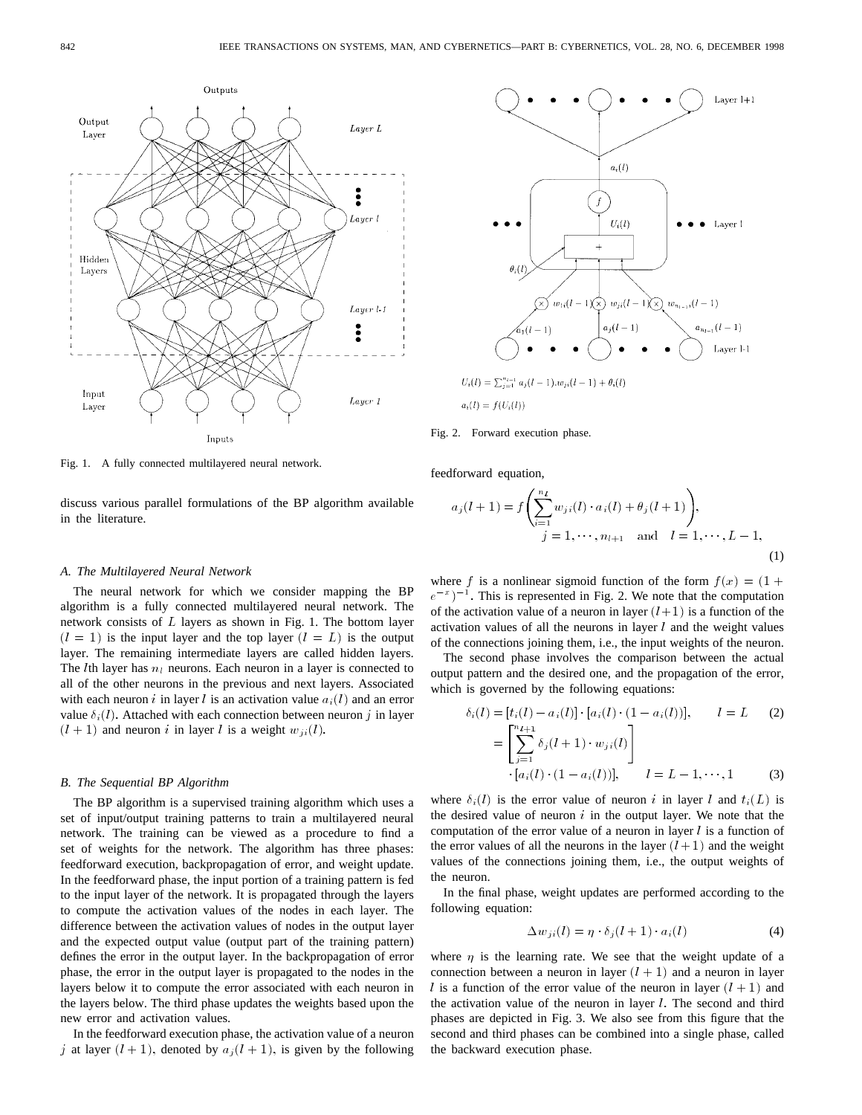

Fig. 1. A fully connected multilayered neural network.

discuss various parallel formulations of the BP algorithm available in the literature.

## *A. The Multilayered Neural Network*

The neural network for which we consider mapping the BP algorithm is a fully connected multilayered neural network. The network consists of  $L$  layers as shown in Fig. 1. The bottom layer  $(l = 1)$  is the input layer and the top layer  $(l = L)$  is the output layer. The remaining intermediate layers are called hidden layers. The *l*th layer has  $n_l$  neurons. Each neuron in a layer is connected to all of the other neurons in the previous and next layers. Associated with each neuron i in layer l is an activation value  $a_i(l)$  and an error value  $\delta_i(l)$ . Attached with each connection between neuron j in layer  $(l + 1)$  and neuron i in layer l is a weight  $w_{ii}(l)$ .

#### *B. The Sequential BP Algorithm*

The BP algorithm is a supervised training algorithm which uses a set of input/output training patterns to train a multilayered neural network. The training can be viewed as a procedure to find a set of weights for the network. The algorithm has three phases: feedforward execution, backpropagation of error, and weight update. In the feedforward phase, the input portion of a training pattern is fed to the input layer of the network. It is propagated through the layers to compute the activation values of the nodes in each layer. The difference between the activation values of nodes in the output layer and the expected output value (output part of the training pattern) defines the error in the output layer. In the backpropagation of error phase, the error in the output layer is propagated to the nodes in the layers below it to compute the error associated with each neuron in the layers below. The third phase updates the weights based upon the new error and activation values.

In the feedforward execution phase, the activation value of a neuron j at layer  $(l + 1)$ , denoted by  $a_j(l + 1)$ , is given by the following



Fig. 2. Forward execution phase.

feedforward equation,

$$
a_j(l+1) = f\left(\sum_{i=1}^{n_l} w_{ji}(l) \cdot a_i(l) + \theta_j(l+1)\right),
$$
  
 
$$
j = 1, \dots, n_{l+1} \text{ and } l = 1, \dots, L-1,
$$
 (1)

where f is a nonlinear sigmoid function of the form  $f(x) = (1 +$ where *f* is a nonlinear sigmoid function of the form  $f(x) = (1 + e^{-x})^{-1}$ . This is represented in Fig. 2. We note that the computation of the activation value of a neuron in layer  $(l+1)$  is a function of the activation values of all the neurons in layer  $l$  and the weight values of the connections joining them, i.e., the input weights of the neuron.

The second phase involves the comparison between the actual output pattern and the desired one, and the propagation of the error, which is governed by the following equations:<br>  $\delta_i(l) = [t_i(l) - a_i(l)] \cdot [a_i(l) \cdot (1 - a_i(l))], \quad l = L$  (2)

$$
\delta_i(l) = [t_i(l) - a_i(l)] \cdot [a_i(l) \cdot (1 - a_i(l))], \qquad l = L \qquad (2)
$$

$$
= \left[ \sum_{j=1}^{n_{l+1}} \delta_j(l+1) \cdot w_{ji}(l) \right]
$$

$$
\cdot [a_i(l) \cdot (1 - a_i(l))], \qquad l = L - 1, \dots, 1 \qquad (3)
$$

where  $\delta_i(l)$  is the error value of neuron i in layer l and  $t_i(L)$  is the desired value of neuron  $i$  in the output layer. We note that the computation of the error value of a neuron in layer  $l$  is a function of the error values of all the neurons in the layer  $(l+1)$  and the weight values of the connections joining them, i.e., the output weights of the neuron.

In the final phase, weight updates are performed according to the following equation: i:<br>  $\Delta w_{ji}(l) = \eta \cdot \delta_j(l+1) \cdot a_i(l)$  (4)

$$
\Delta w_{ji}(l) = \eta \cdot \delta_j(l+1) \cdot a_i(l) \tag{4}
$$

where  $\eta$  is the learning rate. We see that the weight update of a connection between a neuron in layer  $(l + 1)$  and a neuron in layer l is a function of the error value of the neuron in layer  $(l + 1)$  and the activation value of the neuron in layer  $l$ . The second and third phases are depicted in Fig. 3. We also see from this figure that the second and third phases can be combined into a single phase, called the backward execution phase.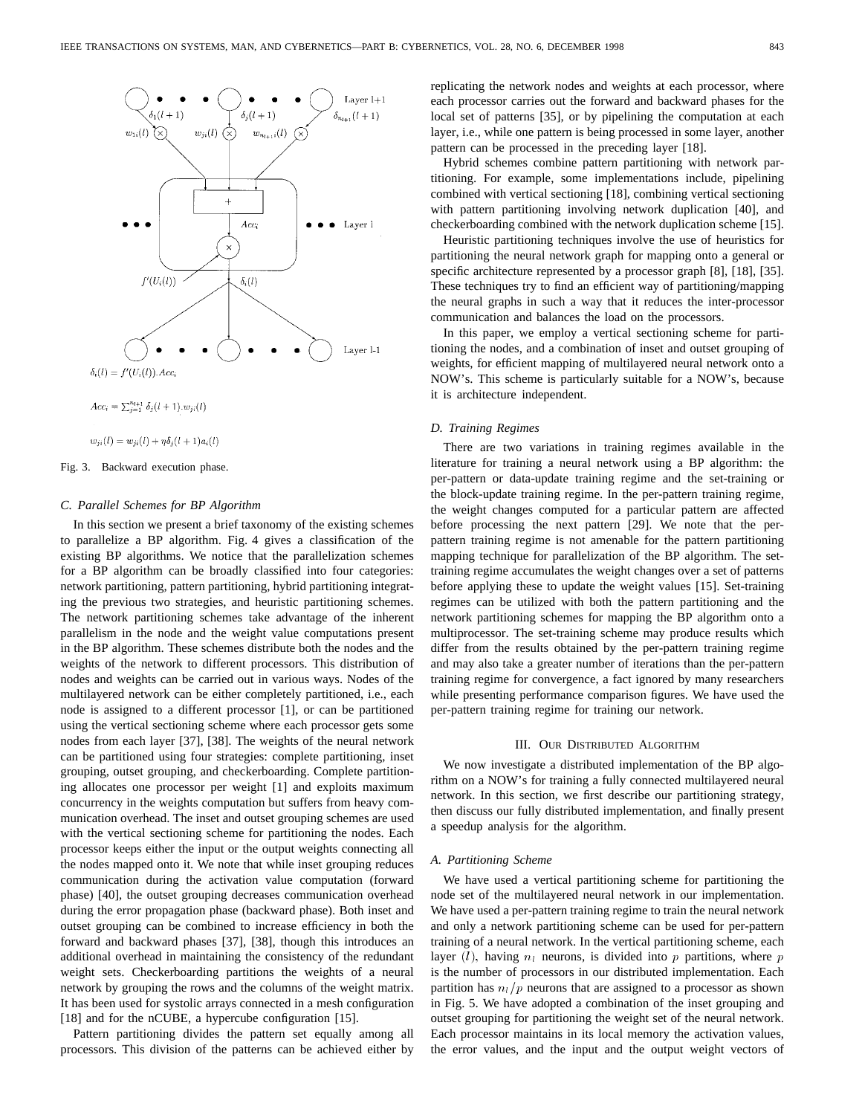

 $w_{ji}(l) = w_{ji}(l) + \eta \delta_j(l+1) a_i(l)$ 

Fig. 3. Backward execution phase.

# *C. Parallel Schemes for BP Algorithm*

In this section we present a brief taxonomy of the existing schemes to parallelize a BP algorithm. Fig. 4 gives a classification of the existing BP algorithms. We notice that the parallelization schemes for a BP algorithm can be broadly classified into four categories: network partitioning, pattern partitioning, hybrid partitioning integrating the previous two strategies, and heuristic partitioning schemes. The network partitioning schemes take advantage of the inherent parallelism in the node and the weight value computations present in the BP algorithm. These schemes distribute both the nodes and the weights of the network to different processors. This distribution of nodes and weights can be carried out in various ways. Nodes of the multilayered network can be either completely partitioned, i.e., each node is assigned to a different processor [1], or can be partitioned using the vertical sectioning scheme where each processor gets some nodes from each layer [37], [38]. The weights of the neural network can be partitioned using four strategies: complete partitioning, inset grouping, outset grouping, and checkerboarding. Complete partitioning allocates one processor per weight [1] and exploits maximum concurrency in the weights computation but suffers from heavy communication overhead. The inset and outset grouping schemes are used with the vertical sectioning scheme for partitioning the nodes. Each processor keeps either the input or the output weights connecting all the nodes mapped onto it. We note that while inset grouping reduces communication during the activation value computation (forward phase) [40], the outset grouping decreases communication overhead during the error propagation phase (backward phase). Both inset and outset grouping can be combined to increase efficiency in both the forward and backward phases [37], [38], though this introduces an additional overhead in maintaining the consistency of the redundant weight sets. Checkerboarding partitions the weights of a neural network by grouping the rows and the columns of the weight matrix. It has been used for systolic arrays connected in a mesh configuration [18] and for the nCUBE, a hypercube configuration [15].

Pattern partitioning divides the pattern set equally among all processors. This division of the patterns can be achieved either by replicating the network nodes and weights at each processor, where each processor carries out the forward and backward phases for the local set of patterns [35], or by pipelining the computation at each layer, i.e., while one pattern is being processed in some layer, another pattern can be processed in the preceding layer [18].

Hybrid schemes combine pattern partitioning with network partitioning. For example, some implementations include, pipelining combined with vertical sectioning [18], combining vertical sectioning with pattern partitioning involving network duplication [40], and checkerboarding combined with the network duplication scheme [15].

Heuristic partitioning techniques involve the use of heuristics for partitioning the neural network graph for mapping onto a general or specific architecture represented by a processor graph [8], [18], [35]. These techniques try to find an efficient way of partitioning/mapping the neural graphs in such a way that it reduces the inter-processor communication and balances the load on the processors.

In this paper, we employ a vertical sectioning scheme for partitioning the nodes, and a combination of inset and outset grouping of weights, for efficient mapping of multilayered neural network onto a NOW's. This scheme is particularly suitable for a NOW's, because it is architecture independent.

# *D. Training Regimes*

There are two variations in training regimes available in the literature for training a neural network using a BP algorithm: the per-pattern or data-update training regime and the set-training or the block-update training regime. In the per-pattern training regime, the weight changes computed for a particular pattern are affected before processing the next pattern [29]. We note that the perpattern training regime is not amenable for the pattern partitioning mapping technique for parallelization of the BP algorithm. The settraining regime accumulates the weight changes over a set of patterns before applying these to update the weight values [15]. Set-training regimes can be utilized with both the pattern partitioning and the network partitioning schemes for mapping the BP algorithm onto a multiprocessor. The set-training scheme may produce results which differ from the results obtained by the per-pattern training regime and may also take a greater number of iterations than the per-pattern training regime for convergence, a fact ignored by many researchers while presenting performance comparison figures. We have used the per-pattern training regime for training our network.

#### III. OUR DISTRIBUTED ALGORITHM

We now investigate a distributed implementation of the BP algorithm on a NOW's for training a fully connected multilayered neural network. In this section, we first describe our partitioning strategy, then discuss our fully distributed implementation, and finally present a speedup analysis for the algorithm.

### *A. Partitioning Scheme*

We have used a vertical partitioning scheme for partitioning the node set of the multilayered neural network in our implementation. We have used a per-pattern training regime to train the neural network and only a network partitioning scheme can be used for per-pattern training of a neural network. In the vertical partitioning scheme, each layer (1), having  $n_l$  neurons, is divided into p partitions, where p is the number of processors in our distributed implementation. Each partition has  $n_l/p$  neurons that are assigned to a processor as shown in Fig. 5. We have adopted a combination of the inset grouping and outset grouping for partitioning the weight set of the neural network. Each processor maintains in its local memory the activation values, the error values, and the input and the output weight vectors of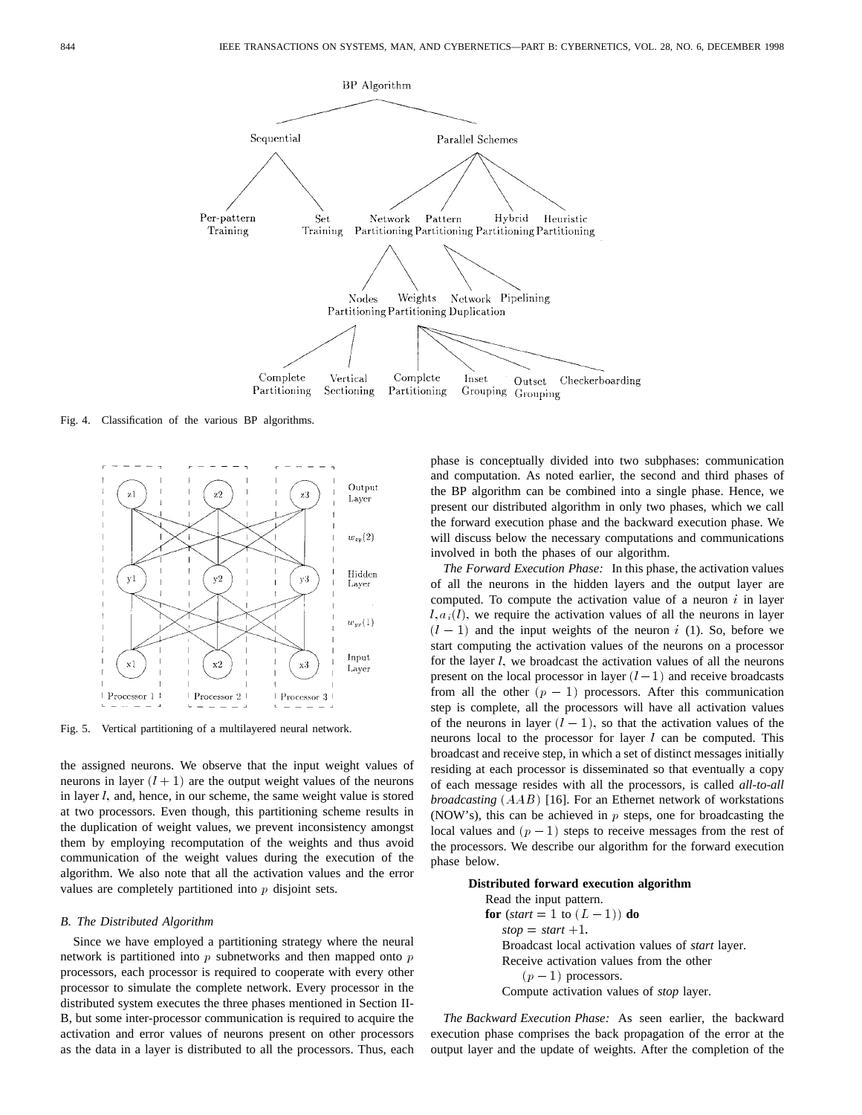

Fig. 4. Classification of the various BP algorithms.



Fig. 5. Vertical partitioning of a multilayered neural network.

the assigned neurons. We observe that the input weight values of neurons in layer  $(l + 1)$  are the output weight values of the neurons in layer  $l$ , and, hence, in our scheme, the same weight value is stored at two processors. Even though, this partitioning scheme results in the duplication of weight values, we prevent inconsistency amongst them by employing recomputation of the weights and thus avoid communication of the weight values during the execution of the algorithm. We also note that all the activation values and the error values are completely partitioned into  $p$  disjoint sets.

# *B. The Distributed Algorithm*

Since we have employed a partitioning strategy where the neural network is partitioned into  $p$  subnetworks and then mapped onto  $p$ processors, each processor is required to cooperate with every other processor to simulate the complete network. Every processor in the distributed system executes the three phases mentioned in Section II-B, but some inter-processor communication is required to acquire the activation and error values of neurons present on other processors as the data in a layer is distributed to all the processors. Thus, each phase is conceptually divided into two subphases: communication and computation. As noted earlier, the second and third phases of the BP algorithm can be combined into a single phase. Hence, we present our distributed algorithm in only two phases, which we call the forward execution phase and the backward execution phase. We will discuss below the necessary computations and communications involved in both the phases of our algorithm.

*The Forward Execution Phase:* In this phase, the activation values of all the neurons in the hidden layers and the output layer are computed. To compute the activation value of a neuron *i* in layer *l*,  $a_i(l)$ , we require the activation values of all the neurons in layer  $(l - 1)$  and the computed. To compute the activation value of a neuron  $i$  in layer  $l, a_i(l)$ , we require the activation values of all the neurons in layer start computing the activation values of the neurons on a processor for the layer l, we broadcast the activation values of all the neurons  $(l-1)$  and the input weights of the neuron i (1). So, before we start computing the activation values of the neurons on a processor for the layer l, we broadcast the activation values of all the neurons present on the loc from all the other (p - 1) processors.<br>
for the layer l, we broadcast the activation values of all the neurons<br>
present on the local processor in layer (l - 1) and receive broadcasts<br>
from all the other (p - 1) processors step is complete, all the processors will have all activation values present on the local processor in layer  $(l-1)$  and receive broadcasts<br>from all the other  $(p-1)$  processors. After this communication<br>step is complete, all the processors will have all activation values<br>of the neurons in l neurons local to the processor for layer  $l$  can be computed. This broadcast and receive step, in which a set of distinct messages initially residing at each processor is disseminated so that eventually a copy of each message resides with all the processors, is called *all-to-all* broadcasting  $(ABAB)$  [16]. For an Ethernet network of workstations (NOW's), this can be achieved in *p* steps, one for broadcasting the local values a *broadcasting* (AAB) [16]. For an Ethernet network of workstations (NOW's), this can be achieved in  $p$  steps, one for broadcasting the the processors. We describe our algorithm for the forward execution phase below.

## **Distributed forward execution algorithm**

Read the input pattern. w.<br>**fributed forward execution**:<br>Read the input pattern.<br>**for** (*start* = 1 to  $(L - 1)$ ) **do**  $stop = start + 1.$ Broadcast local activation values of *start* layer. Receive activation values from the other  $= start + 1.$ <br>
adcast local activation<br>
give activation value<br>  $(p - 1)$  processors. Compute activation values of *stop* layer.

*The Backward Execution Phase:* As seen earlier, the backward execution phase comprises the back propagation of the error at the output layer and the update of weights. After the completion of the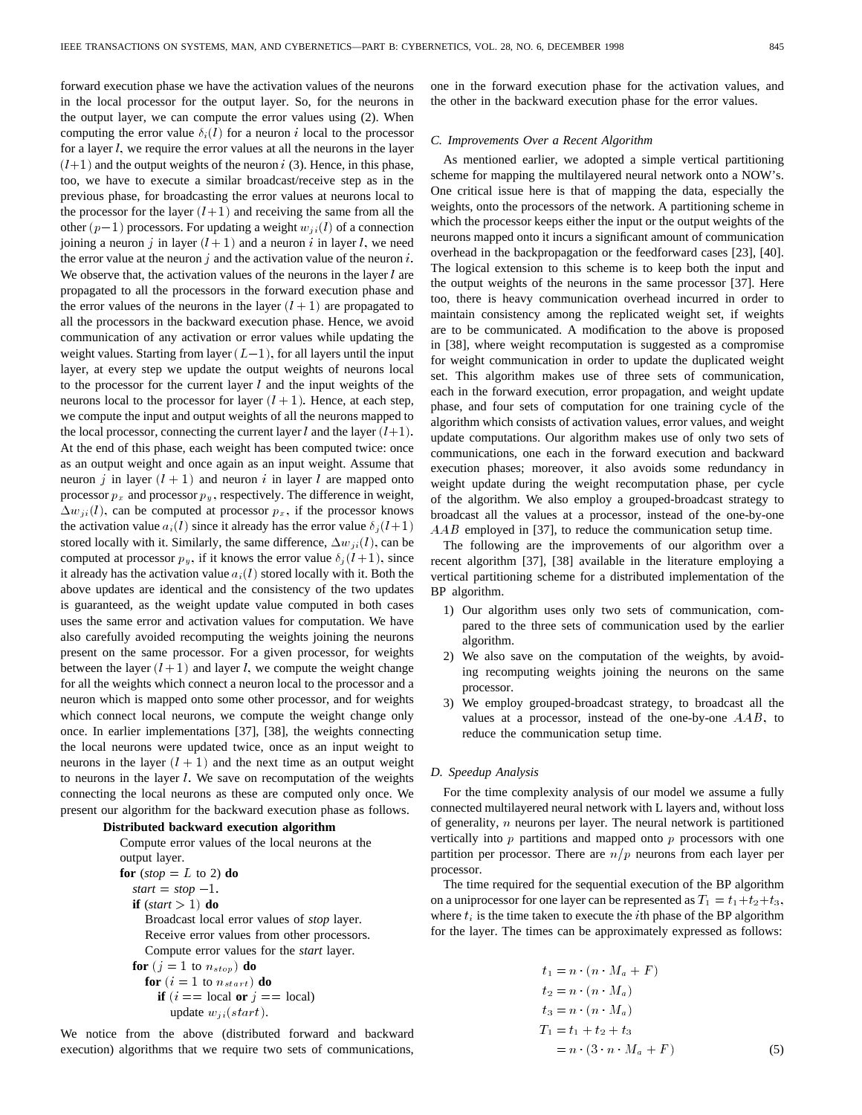forward execution phase we have the activation values of the neurons in the local processor for the output layer. So, for the neurons in the output layer, we can compute the error values using (2). When computing the error value  $\delta_i(l)$  for a neuron i local to the processor for a layer  $l$ , we require the error values at all the neurons in the layer  $(l+1)$  and the output weights of the neuron i (3). Hence, in this phase, too, we have to execute a similar broadcast/receive step as in the previous phase, for broadcasting the error values at neurons local to the processor for the layer  $(l+1)$  and receiving the same from all the other  $(p-1)$  processors. For updating a weight  $w_{ji}(l)$  of a connection joining a neuron j in layer  $(l + 1)$  and a neuron i in layer l, we need the error value at the neuron j and the activation value of the neuron  $i$ . We observe that, the activation values of the neurons in the layer  $l$  are propagated to all the processors in the forward execution phase and the error values of the neurons in the layer  $(l + 1)$  are propagated to all the processors in the backward execution phase. Hence, we avoid communication of any activation or error values while updating the weight values. all the processors in the backward execution phase. Hence, we avoid communication of any activation or error values while updating the layer, at every step we update the output weights of neurons local to the processor for the current layer  $l$  and the input weights of the neurons local to the processor for layer  $(l + 1)$ . Hence, at each step, we compute the input and output weights of all the neurons mapped to the local processor, connecting the current layer  $l$  and the layer  $(l+1)$ . At the end of this phase, each weight has been computed twice: once as an output weight and once again as an input weight. Assume that neuron j in layer  $(l + 1)$  and neuron i in layer l are mapped onto processor  $p_x$  and processor  $p_y$ , respectively. The difference in weight,  $\Delta w_{ji}(l)$ , can be computed at processor  $p_x$ , if the processor knows the activation value  $a_i(l)$  since it already has the error value  $\delta_i (l+1)$ stored locally with it. Similarly, the same difference,  $\Delta w_{ii}(l)$ , can be computed at processor  $p_y$ , if it knows the error value  $\delta_j$  (l+1), since it already has the activation value  $a_i(l)$  stored locally with it. Both the above updates are identical and the consistency of the two updates is guaranteed, as the weight update value computed in both cases uses the same error and activation values for computation. We have also carefully avoided recomputing the weights joining the neurons present on the same processor. For a given processor, for weights between the layer  $(l+1)$  and layer l, we compute the weight change for all the weights which connect a neuron local to the processor and a neuron which is mapped onto some other processor, and for weights which connect local neurons, we compute the weight change only once. In earlier implementations [37], [38], the weights connecting the local neurons were updated twice, once as an input weight to neurons in the layer  $(l + 1)$  and the next time as an output weight to neurons in the layer  $l$ . We save on recomputation of the weights connecting the local neurons as these are computed only once. We present our algorithm for the backward execution phase as follows.

# **Distributed backward execution algorithm**

Compute error values of the local neurons at the output layer. **for** (*stop* =  $L$  to 2) **do**  $start = stop -1$ . **if** (*start*  $> 1$ ) **do** Broadcast local error values of *stop* layer. Receive error values from other processors. Compute error values for the *start* layer. **for**  $(j = 1$  to  $n_{stop}$ ) **do for**  $(i = 1$  to  $n_{start}$ ) **do if** ( $i ==$  local **or**  $j ==$  local) update  $w_{ji}(start)$ .

We notice from the above (distributed forward and backward execution) algorithms that we require two sets of communications,

one in the forward execution phase for the activation values, and the other in the backward execution phase for the error values.

# *C. Improvements Over a Recent Algorithm*

As mentioned earlier, we adopted a simple vertical partitioning scheme for mapping the multilayered neural network onto a NOW's. One critical issue here is that of mapping the data, especially the weights, onto the processors of the network. A partitioning scheme in which the processor keeps either the input or the output weights of the neurons mapped onto it incurs a significant amount of communication overhead in the backpropagation or the feedforward cases [23], [40]. The logical extension to this scheme is to keep both the input and the output weights of the neurons in the same processor [37]. Here too, there is heavy communication overhead incurred in order to maintain consistency among the replicated weight set, if weights are to be communicated. A modification to the above is proposed in [38], where weight recomputation is suggested as a compromise for weight communication in order to update the duplicated weight set. This algorithm makes use of three sets of communication, each in the forward execution, error propagation, and weight update phase, and four sets of computation for one training cycle of the algorithm which consists of activation values, error values, and weight update computations. Our algorithm makes use of only two sets of communications, one each in the forward execution and backward execution phases; moreover, it also avoids some redundancy in weight update during the weight recomputation phase, per cycle of the algorithm. We also employ a grouped-broadcast strategy to broadcast all the values at a processor, instead of the one-by-one AAB employed in [37], to reduce the communication setup time.

The following are the improvements of our algorithm over a recent algorithm [37], [38] available in the literature employing a vertical partitioning scheme for a distributed implementation of the BP algorithm.

- 1) Our algorithm uses only two sets of communication, compared to the three sets of communication used by the earlier algorithm.
- 2) We also save on the computation of the weights, by avoiding recomputing weights joining the neurons on the same processor.
- 3) We employ grouped-broadcast strategy, to broadcast all the values at a processor, instead of the one-by-one  $AAB$ , to reduce the communication setup time.

# *D. Speedup Analysis*

For the time complexity analysis of our model we assume a fully connected multilayered neural network with L layers and, without loss of generality,  $n$  neurons per layer. The neural network is partitioned vertically into  $p$  partitions and mapped onto  $p$  processors with one partition per processor. There are  $n/p$  neurons from each layer per processor.

The time required for the sequential execution of the BP algorithm on a uniprocessor for one layer can be represented as  $T_1 = t_1+t_2+t_3$ , where  $t_i$  is the time taken to execute the *i*th phase of the BP algorithm for the layer. The times can be approximately expressed as follows:

$$
t_1 = n \cdot (n \cdot M_a + F)
$$
  
\n
$$
t_2 = n \cdot (n \cdot M_a)
$$
  
\n
$$
t_3 = n \cdot (n \cdot M_a)
$$
  
\n
$$
T_1 = t_1 + t_2 + t_3
$$
  
\n
$$
= n \cdot (3 \cdot n \cdot M_a + F)
$$
 (5)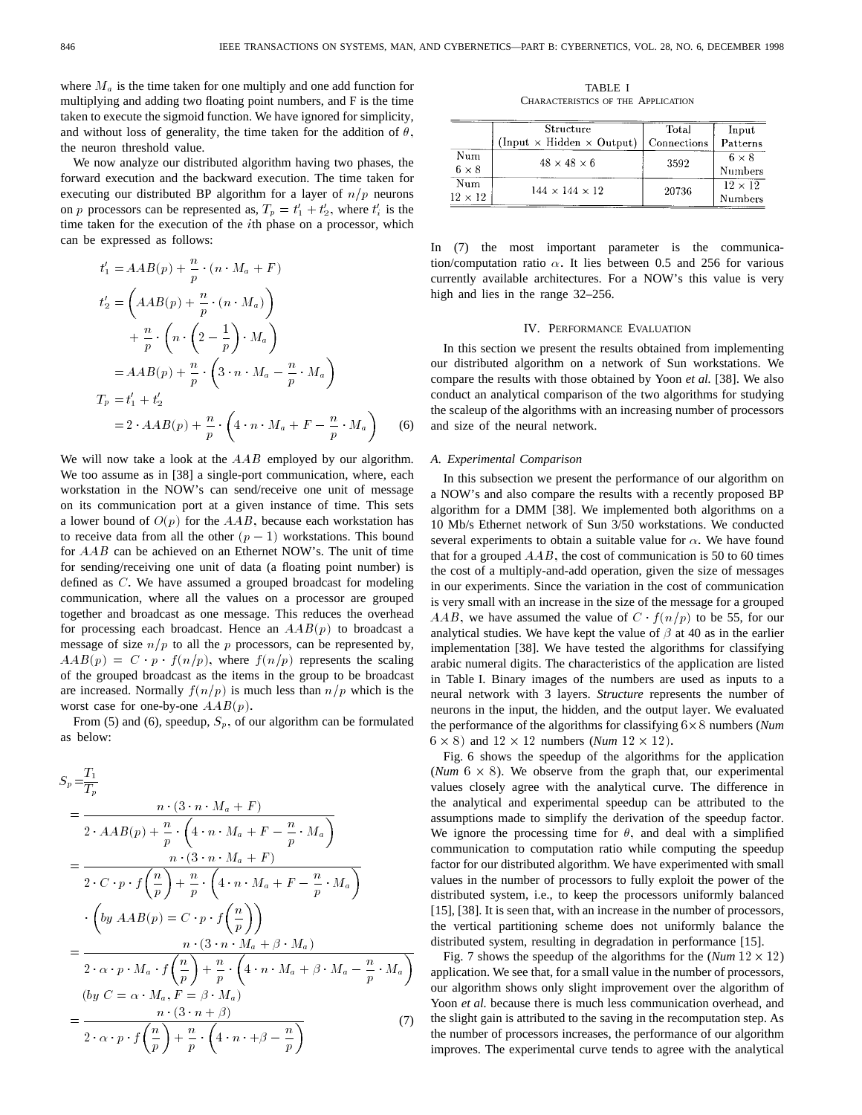where  $M_a$  is the time taken for one multiply and one add function for multiplying and adding two floating point numbers, and F is the time taken to execute the sigmoid function. We have ignored for simplicity, and without loss of generality, the time taken for the addition of  $\theta$ , the neuron threshold value.

We now analyze our distributed algorithm having two phases, the forward execution and the backward execution. The time taken for executing our distributed BP algorithm for a layer of  $n/p$  neurons on p processors can be represented as,  $T_p = t'_1 + t'_2$ , where  $t'_i$  is the time taken for the execution of the ith phase on a processor, which can be expressed as follows:

$$
t'_{1} = AAB(p) + \frac{n}{p} \cdot (n \cdot M_{a} + F)
$$
  
\n
$$
t'_{2} = \left( AAB(p) + \frac{n}{p} \cdot (n \cdot M_{a}) \right)
$$
  
\n
$$
+ \frac{n}{p} \cdot \left( n \cdot \left( 2 - \frac{1}{p} \right) \cdot M_{a} \right)
$$
  
\n
$$
= AAB(p) + \frac{n}{p} \cdot \left( 3 \cdot n \cdot M_{a} - \frac{n}{p} \cdot M_{a} \right)
$$
  
\n
$$
T_{p} = t'_{1} + t'_{2}
$$
  
\n
$$
= 2 \cdot AAB(p) + \frac{n}{p} \cdot \left( 4 \cdot n \cdot M_{a} + F - \frac{n}{p} \cdot M_{a} \right)
$$
 (6)

We will now take a look at the  $AAB$  employed by our algorithm. We too assume as in [38] a single-port communication, where, each workstation in the NOW's can send/receive one unit of message on its communication port at a given instance of time. This sets a lower bound of  $O(p)$  for the  $AAB$ , because each workstation has to receive data from all the other  $(p - 1)$  workstations. This bound for AAB can be achieved on an Ethernet NOW's. The unit of time for sending/receiving one unit of data (a floating point number) is defined as C: We have assumed a grouped broadcast for modeling communication, where all the values on a processor are grouped together and broadcast as one message. This reduces the overhead for processing each broadcast. Hence an  $AAB(p)$  to broadcast a message of size  $n/p$  to all the p processors, can be represented by,  $AAB(p) = C \cdot p \cdot f(n/p)$ , where  $f(n/p)$  represents the scaling of the grouped broadcast as the items in the group to be broadcast are increased. Normally  $f(n/p)$  is much less than  $n/p$  which is the worst case for one-by-one  $AAB(p)$ .

From (5) and (6), speedup,  $S_p$ , of our algorithm can be formulated as below:

$$
S_p = \frac{T_1}{T_p}
$$
  
= 
$$
\frac{n \cdot (3 \cdot n \cdot M_a + F)}{2 \cdot AB(p) + \frac{n}{p} \cdot (4 \cdot n \cdot M_a + F - \frac{n}{p} \cdot M_a)}
$$
  
= 
$$
\frac{n \cdot (3 \cdot n \cdot M_a + F)}{2 \cdot C \cdot p \cdot f(\frac{n}{p}) + \frac{n}{p} \cdot (4 \cdot n \cdot M_a + F - \frac{n}{p} \cdot M_a)}
$$
  

$$
\cdot \left(by \quad AAB(p) = C \cdot p \cdot f(\frac{n}{p})\right)
$$
  
= 
$$
\frac{n \cdot (3 \cdot n \cdot M_a + \beta \cdot M_a)}{2 \cdot \alpha \cdot p \cdot M_a \cdot f(\frac{n}{p}) + \frac{n}{p} \cdot (4 \cdot n \cdot M_a + \beta \cdot M_a - \frac{n}{p} \cdot M_a)}
$$
  

$$
\frac{(by \ C = \alpha \cdot M_a, F = \beta \cdot M_a)}{2 \cdot \alpha \cdot p \cdot f(\frac{n}{p}) + \frac{n}{p} \cdot (4 \cdot n \cdot + \beta - \frac{n}{p})}
$$
(7)

TABLE I CHARACTERISTICS OF THE APPLICATION

|                       | Structure<br>(Input $\times$ Hidden $\times$ Output) | Total<br>Connections | Input<br>Patterns         |
|-----------------------|------------------------------------------------------|----------------------|---------------------------|
| Num<br>$6 \times 8$   | $48 \times 48 \times 6$                              | 3592                 | $6 \times 8$<br>Numbers   |
| Num<br>$12 \times 12$ | $144 \times 144 \times 12$                           | 20736                | $12 \times 12$<br>Numbers |

In (7) the most important parameter is the communication/computation ratio  $\alpha$ . It lies between 0.5 and 256 for various currently available architectures. For a NOW's this value is very high and lies in the range 32–256.

## IV. PERFORMANCE EVALUATION

In this section we present the results obtained from implementing our distributed algorithm on a network of Sun workstations. We compare the results with those obtained by Yoon *et al.* [38]. We also conduct an analytical comparison of the two algorithms for studying the scaleup of the algorithms with an increasing number of processors and size of the neural network.

## *A. Experimental Comparison*

In this subsection we present the performance of our algorithm on a NOW's and also compare the results with a recently proposed BP algorithm for a DMM [38]. We implemented both algorithms on a 10 Mb/s Ethernet network of Sun 3/50 workstations. We conducted several experiments to obtain a suitable value for  $\alpha$ . We have found that for a grouped  $AAB$ , the cost of communication is 50 to 60 times the cost of a multiply-and-add operation, given the size of messages in our experiments. Since the variation in the cost of communication is very small with an increase in the size of the message for a grouped AAB, we have assumed the value of  $C \cdot f(n/p)$  to be 55, for our analytical studies. We have kept the value of  $\beta$  at 40 as in the earlier implementation [38]. We have tested the algorithms for classifying arabic numeral digits. The characteristics of the application are listed in Table I. Binary images of the numbers are used as inputs to a neural network with 3 layers. *Structure* represents the number of neurons in the input, the hidden, and the output layer. We evaluated the performance of the algorithms for classifying  $6 \times 8$  numbers (*Num*)  $6 \times 8$ ) and  $12 \times 12$  numbers (*Num*  $12 \times 12$ ).

Fig. 6 shows the speedup of the algorithms for the application ( $Num\ 6 \times 8$ ). We observe from the graph that, our experimental values closely agree with the analytical curve. The difference in the analytical and experimental speedup can be attributed to the assumptions made to simplify the derivation of the speedup factor. We ignore the processing time for  $\theta$ , and deal with a simplified communication to computation ratio while computing the speedup factor for our distributed algorithm. We have experimented with small values in the number of processors to fully exploit the power of the distributed system, i.e., to keep the processors uniformly balanced [15], [38]. It is seen that, with an increase in the number of processors, the vertical partitioning scheme does not uniformly balance the distributed system, resulting in degradation in performance [15].

Fig. 7 shows the speedup of the algorithms for the  $(Num 12 \times 12)$ application. We see that, for a small value in the number of processors, our algorithm shows only slight improvement over the algorithm of Yoon *et al.* because there is much less communication overhead, and the slight gain is attributed to the saving in the recomputation step. As the number of processors increases, the performance of our algorithm improves. The experimental curve tends to agree with the analytical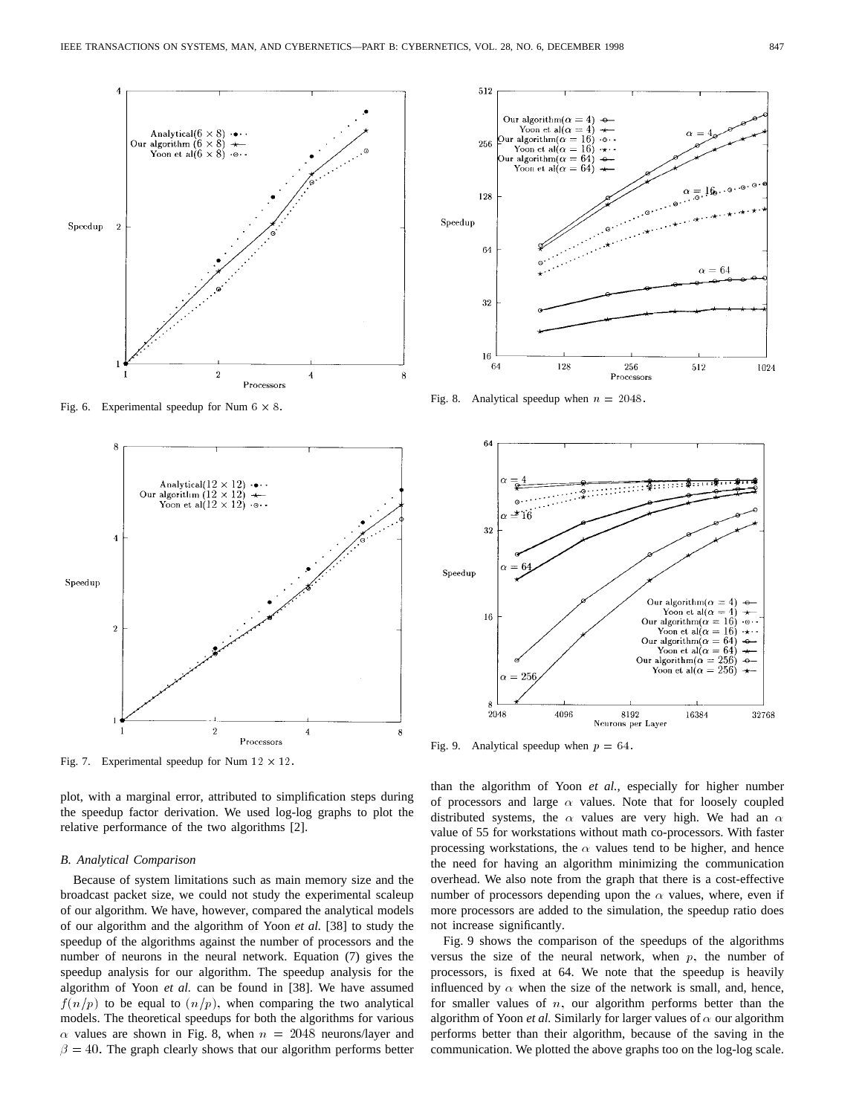

Fig. 6. Experimental speedup for Num  $6 \times 8$ .



Fig. 7. Experimental speedup for Num  $12 \times 12$ .

plot, with a marginal error, attributed to simplification steps during the speedup factor derivation. We used log-log graphs to plot the relative performance of the two algorithms [2].

### *B. Analytical Comparison*

Because of system limitations such as main memory size and the broadcast packet size, we could not study the experimental scaleup of our algorithm. We have, however, compared the analytical models of our algorithm and the algorithm of Yoon *et al.* [38] to study the speedup of the algorithms against the number of processors and the number of neurons in the neural network. Equation (7) gives the speedup analysis for our algorithm. The speedup analysis for the algorithm of Yoon *et al.* can be found in [38]. We have assumed  $f(n/p)$  to be equal to  $(n/p)$ , when comparing the two analytical models. The theoretical speedups for both the algorithms for various  $\alpha$  values are shown in Fig. 8, when  $n = 2048$  neurons/layer and  $\beta = 40$ . The graph clearly shows that our algorithm performs better



Fig. 8. Analytical speedup when  $n = 2048$ 



Fig. 9. Analytical speedup when  $p = 64$ .

than the algorithm of Yoon *et al.*, especially for higher number of processors and large  $\alpha$  values. Note that for loosely coupled distributed systems, the  $\alpha$  values are very high. We had an  $\alpha$ value of 55 for workstations without math co-processors. With faster processing workstations, the  $\alpha$  values tend to be higher, and hence the need for having an algorithm minimizing the communication overhead. We also note from the graph that there is a cost-effective number of processors depending upon the  $\alpha$  values, where, even if more processors are added to the simulation, the speedup ratio does not increase significantly.

Fig. 9 shows the comparison of the speedups of the algorithms versus the size of the neural network, when  $p$ , the number of processors, is fixed at 64. We note that the speedup is heavily influenced by  $\alpha$  when the size of the network is small, and, hence, for smaller values of  $n$ , our algorithm performs better than the algorithm of Yoon *et al.* Similarly for larger values of  $\alpha$  our algorithm performs better than their algorithm, because of the saving in the communication. We plotted the above graphs too on the log-log scale.